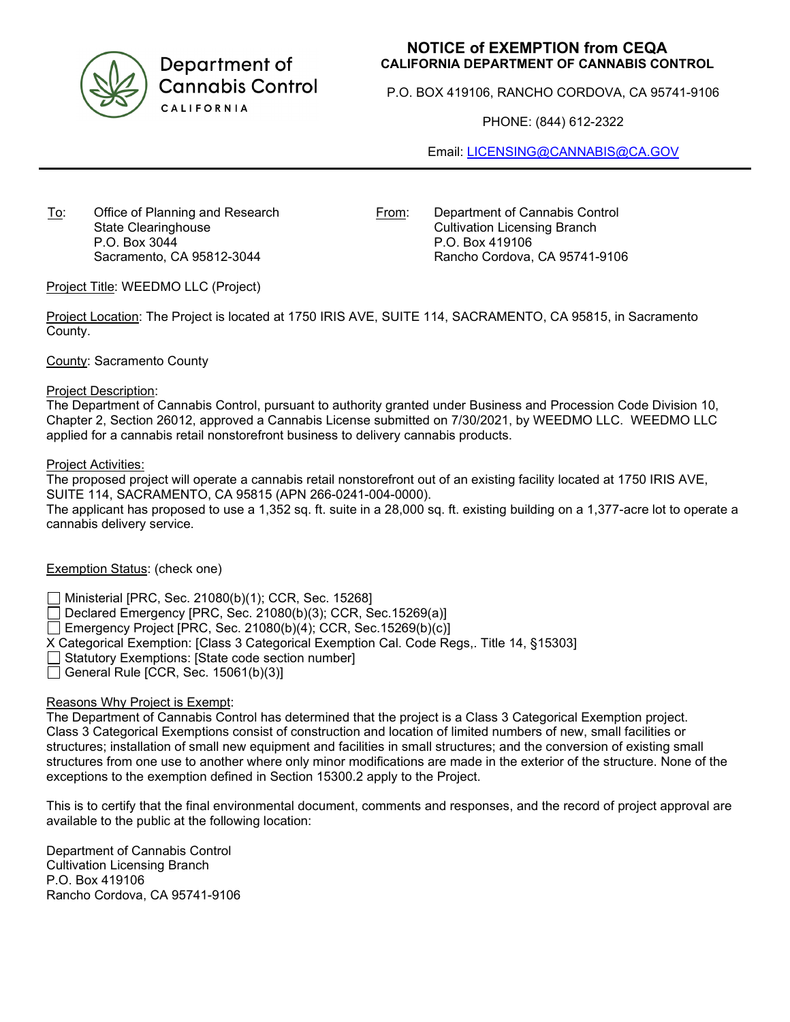

Department of **Cannabis Control** CALIFORNIA

# **NOTICE of EXEMPTION from CEQA CALIFORNIA DEPARTMENT OF CANNABIS CONTROL**

P.O. BOX 419106, RANCHO CORDOVA, CA 95741-9106

PHONE: (844) 612-2322

Email: [LICENSING@CANNABIS@CA.GOV](mailto:LICENSING@CANNABIS@CA.GOV)

To: Office of Planning and Research State Clearinghouse P.O. Box 3044 Sacramento, CA 95812-3044

From: Department of Cannabis Control Cultivation Licensing Branch P.O. Box 419106 Rancho Cordova, CA 95741-9106

## Project Title: WEEDMO LLC (Project)

Project Location: The Project is located at 1750 IRIS AVE, SUITE 114, SACRAMENTO, CA 95815, in Sacramento County.

#### County: Sacramento County

#### Project Description:

The Department of Cannabis Control, pursuant to authority granted under Business and Procession Code Division 10, Chapter 2, Section 26012, approved a Cannabis License submitted on 7/30/2021, by WEEDMO LLC. WEEDMO LLC applied for a cannabis retail nonstorefront business to delivery cannabis products.

#### Project Activities:

The proposed project will operate a cannabis retail nonstorefront out of an existing facility located at 1750 IRIS AVE, SUITE 114, SACRAMENTO, CA 95815 (APN 266-0241-004-0000).

The applicant has proposed to use a 1,352 sq. ft. suite in a 28,000 sq. ft. existing building on a 1,377-acre lot to operate a cannabis delivery service.

## Exemption Status: (check one)

Ministerial [PRC, Sec. 21080(b)(1); CCR, Sec. 15268]

 $\Box$  Declared Emergency [PRC, Sec. 21080(b)(3); CCR, Sec.15269(a)]

 $\Box$  Emergency Project [PRC, Sec. 21080(b)(4); CCR, Sec. 15269(b)(c)]

X Categorical Exemption: [Class 3 Categorical Exemption Cal. Code Regs,. Title 14, §15303]

 $\Box$  Statutory Exemptions: [State code section number]

General Rule [CCR, Sec.  $15061(b)(3)$ ]

## Reasons Why Project is Exempt:

The Department of Cannabis Control has determined that the project is a Class 3 Categorical Exemption project. Class 3 Categorical Exemptions consist of construction and location of limited numbers of new, small facilities or structures; installation of small new equipment and facilities in small structures; and the conversion of existing small structures from one use to another where only minor modifications are made in the exterior of the structure. None of the exceptions to the exemption defined in Section 15300.2 apply to the Project.

This is to certify that the final environmental document, comments and responses, and the record of project approval are available to the public at the following location:

Department of Cannabis Control Cultivation Licensing Branch P.O. Box 419106 Rancho Cordova, CA 95741-9106